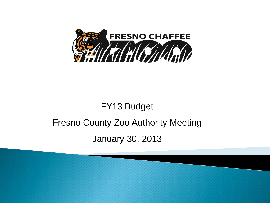

# FY13 Budget Fresno County Zoo Authority Meeting January 30, 2013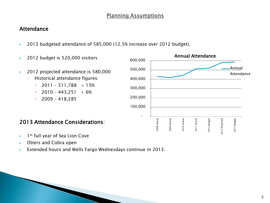# **Planning Assumptions**

# Attendance

- ▶ 2013 budgeted attendance of 585,000 (12.5% increase over 2012 budget).
- Annual Attendance ▶ 2012 budget is 520,000 visitors 600,000 500,000 ▶ 2012 projected attendance is 580,000 ◦ Historical attendance figures: 400,000  $\cdot$  2011 - 511,788 + 15% 300,000  $\cdot$  2010 - 443,251 + 6% 200,000  $\cdot$  2009 - 418,285 100,000 - 2008 Actual 2009 Actual 2010 Actual 2008 Actual 2009 Actual 2010 Actual 2011 Actual 2011 Actual 2012 Budget 2012 Budget 2013 Attendance Considerations:
- $\blacktriangleright$  1<sup>st</sup> full year of Sea Lion Cove
- ▶ Otters and Cobra open
- Extended hours and Wells Fargo Wednesdays continue in 2013.

2012 Projected

2012 Projected

2013 Budget

2013 Budget

Annual Attendance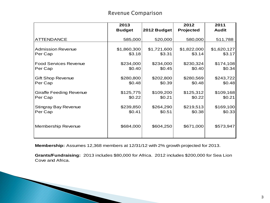# **Revenue Comparison**

|                                | 2013          |             | 2012        | 2011         |
|--------------------------------|---------------|-------------|-------------|--------------|
|                                | <b>Budget</b> | 2012 Budget | Projected   | <b>Audit</b> |
| <b>ATTENDANCE</b>              | 585,000       | 520,000     | 580,000     | 511,788      |
| <b>Admission Revenue</b>       | \$1,860,300   | \$1,721,600 | \$1,822,000 | \$1,620,127  |
| Per Cap                        | \$3.18        | \$3.31      | \$3.14      | \$3.17       |
| <b>Food Services Revenue</b>   | \$234,000     | \$234,000   | \$230,324   | \$174,108    |
| Per Cap                        | \$0.40        | \$0.45      | \$0.40      | \$0.34       |
| <b>Gift Shop Revenue</b>       | \$280,800     | \$202,800   | \$280,569   | \$243,722    |
| Per Cap                        | \$0.48        | \$0.39      | \$0.48      | \$0.48       |
| <b>Giraffe Feeding Revenue</b> | \$125,775     | \$109,200   | \$125,312   | \$109,168    |
| Per Cap                        | \$0.22        | \$0.21      | \$0.22      | \$0.21       |
| <b>Stingray Bay Revenue</b>    | \$239,850     | \$264,290   | \$219,513   | \$169,100    |
| Per Cap                        | \$0.41        | \$0.51      | \$0.38      | \$0.33       |
| Membership Revenue             | \$684,000     | \$604,250   | \$671,000   | \$573,947    |

**Membership:** Assumes 12,368 members at 12/31/12 with 2% growth projected for 2013.

**The Company of the Company of The Company of The Company of The Company of The Company of The Company of The Company of The Company of The Company of The Company of The Company of The Company of The Company of The Company** 

**Grants/Fundraising:** 2013 includes \$80,000 for Africa. 2012 includes \$200,000 for Sea Lion Cove and Africa.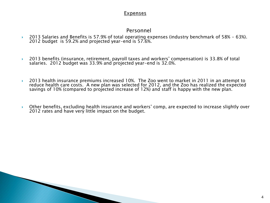### **Expenses**

# Personnel

- 2013 Salaries and Benefits is 57.9% of total operating expenses (industry benchmark of 58% 63%). 2012 budget is 59.2% and projected year-end is 57.6%.
- ▶ 2013 benefits (insurance, retirement, payroll taxes and workers' compensation) is 33.8% of total salaries. 2012 budget was 33.9% and projected year-end is 32.0%.
- 2013 health insurance premiums increased 10%. The Zoo went to market in 2011 in an attempt to reduce health care costs. A new plan was selected for 2012, and the Zoo has realized the expected savings of 10% (compared to projected increase of 12%) and staff is happy with the new plan.
- Other benefits, excluding health insurance and workers' comp, are expected to increase slightly over 2012 rates and have very little impact on the budget.

and the contract of the contract of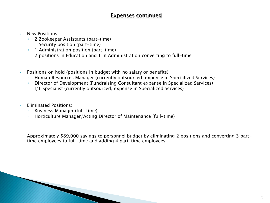# Expenses continued

- New Positions:
	- 2 Zookeeper Assistants (part-time)
	- 1 Security position (part-time)
	- 1 Administration position (part-time)
	- 2 positions in Education and 1 in Administration converting to full-time
- **Positions on hold (positions in budget with no salary or benefits):** 
	- Human Resources Manager (currently outsourced, expense in Specialized Services)
	- Director of Development (Fundraising Consultant expense in Specialized Services)
	- I/T Specialist (currently outsourced, expense in Specialized Services)
- **Eliminated Positions:** 
	- Business Manager (full-time)
	- Horticulture Manager/Acting Director of Maintenance (full-time)

Approximately \$89,000 savings to personnel budget by eliminating 2 positions and converting 3 parttime employees to full-time and adding 4 part-time employees.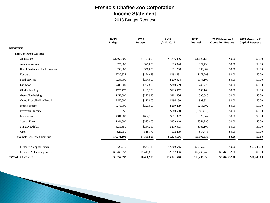# **Fresno's Chaffee Zoo Corporation Income Statement**

2013 Budget Request

|                                     | <b>FY13</b><br><b>Budget</b> | <b>FY12</b><br><b>Budget</b> | <b>FY12</b><br>@12/30/12 | <b>FY11</b><br><b>Audited</b> | 2013 Measure Z<br><b>Operating Request</b> | 2013 Measure Z<br><b>Capital Request</b> |
|-------------------------------------|------------------------------|------------------------------|--------------------------|-------------------------------|--------------------------------------------|------------------------------------------|
| <b>REVENUE</b>                      |                              |                              |                          |                               |                                            |                                          |
| <b>Self Generated Revenue</b>       |                              |                              |                          |                               |                                            |                                          |
| Admissions                          | \$1,860,300                  | \$1,721,600                  | \$1,816,896              | \$1,620,127                   | \$0.00                                     | \$0.00                                   |
| Adopt an Animal                     | \$25,000                     | \$25,000                     | \$25,040                 | \$24,753                      | \$0.00                                     | \$0.00                                   |
| Board Designated for Endowment      | \$50,000                     | \$50,000                     | \$31,298                 | \$63,984                      | \$0.00                                     | \$0.00                                   |
| Education                           | \$220,525                    | \$174,675                    | \$198,451                | \$175,798                     | \$0.00                                     | \$0.00                                   |
| <b>Food Services</b>                | \$234,000                    | \$234,000                    | \$230,324                | \$174,108                     | \$0.00                                     | \$0.00                                   |
| Gift Shop                           | \$280,800                    | \$202,800                    | \$280,569                | \$243,722                     | \$0.00                                     | \$0.00                                   |
| Giraffe Feeding                     | \$125,775                    | \$109,200                    | \$125,312                | \$109,168                     | \$0.00                                     | \$0.00                                   |
| Grants/Fundraising                  | \$153,500                    | \$277,920                    | \$201,436                | \$98,643                      | \$0.00                                     | \$0.00                                   |
| Group Event/Facility Rental         | \$150,000                    | \$110,000                    | \$196,199                | \$98,634                      | \$0.00                                     | \$0.00                                   |
| Interest Income                     | \$275,000                    | \$220,000                    | \$259,299                | \$256,502                     | \$0.00                                     | \$0.00                                   |
| Investment Income                   | \$0                          | \$0                          | \$680,510                | $(\$395,416)$                 | \$0.00                                     | \$0.00                                   |
| Membership                          | \$684,000                    | \$604,250                    | \$691,072                | \$573,947                     | \$0.00                                     | \$0.00                                   |
| <b>Special Events</b>               | \$444,000                    | \$373,400                    | \$439,918                | \$364,790                     | \$0.00                                     | \$0.00                                   |
| <b>Stingray Exhibit</b>             | \$239,850                    | \$264,290                    | \$219,513                | \$169,100                     | \$0.00                                     | \$0.00                                   |
| Other                               | \$28,350                     | \$18,770                     | \$32,279                 | \$17,476                      | \$0.00                                     | \$0.00                                   |
| <b>Total Self Generated Revenue</b> | \$4,771,100                  | \$4,385,905                  | \$5,428,116              | \$3,595,338                   | \$0.00                                     | \$0.00                                   |
| Measure Z-Capital Funds             | \$20,240                     | \$645,120                    | \$7,700,545              | \$3,869,778                   | \$0.00                                     | \$20,240.00                              |
| Measure Z Operating Funds           | \$3,766,252                  | \$3,449,880                  | \$2,892,956              | \$2,768,740                   | \$3,766,252.00                             | \$0.00                                   |
| <b>TOTAL REVENUE</b>                | \$8,557,592                  | \$8,480,905                  | \$16,021,616             | \$10,233,856                  | \$3,766,252.00                             | \$20,240.00                              |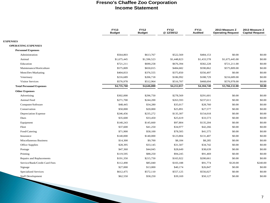#### **Fresno's Chaffee Zoo Corporation Income Statement**

|                                 | <b>FY13</b><br><b>Budget</b> | <b>FY12</b><br><b>Budget</b> | <b>FY12</b><br>@12/30/12 | <b>FY11</b><br><b>Audited</b> | 2013 Measure Z<br><b>Operating Request</b> | 2013 Measure Z<br><b>Capital Request</b> |
|---------------------------------|------------------------------|------------------------------|--------------------------|-------------------------------|--------------------------------------------|------------------------------------------|
| <b>EXPENSES</b>                 |                              |                              |                          |                               |                                            |                                          |
| <b>OPERATING EXPENSES</b>       |                              |                              |                          |                               |                                            |                                          |
| <b>Personnel Expenses</b>       |                              |                              |                          |                               |                                            |                                          |
| Administration                  | \$564,803                    | \$613,767                    | \$522,569                | \$484,153                     | \$0.00                                     | \$0.00                                   |
| Animal                          | \$1,675,445                  | \$1,596,523                  | \$1,448,823              | \$1,433,578                   | \$1,675,445.00                             | \$0.00                                   |
| Education                       | \$721,211                    | \$690,258                    | \$676,394                | \$582,228                     | \$721,211.00                               | \$0.00                                   |
| Maintenance/Horticulture        | \$575,809                    | \$650,015                    | \$484,682                | \$590,862                     | \$575,809.00                               | \$0.00                                   |
| Mem/Dev/Markating               | \$404,833                    | \$376,555                    | \$375,850                | \$356,497                     | \$0.00                                     | \$0.00                                   |
| Veterinary                      | \$216,689                    | \$206,718                    | \$186,992                | \$188,729                     | \$216,689.00                               | \$0.00                                   |
| <b>Visitor Services</b>         | \$576,978                    | \$512,964                    | \$516,707                | \$468,694                     | \$576,978.00                               | \$0.00                                   |
| <b>Total Personnel Expenses</b> | \$4,735,768                  | \$4,646,800                  | \$4,212,017              | \$4,104,740                   | \$3,766,132.00                             | \$0.00                                   |
| <b>Other Expenses</b>           |                              |                              |                          |                               |                                            |                                          |
| Advertising                     | \$302,000                    | \$296,750                    | \$278,569                | \$291,601                     | \$0.00                                     | \$0.00                                   |
| <b>Animal Feed</b>              | \$271,700                    | \$244,200                    | \$263,593                | \$237,611                     | \$0.00                                     | \$0.00                                   |
| Computer/Software               | \$48,445                     | \$34,280                     | \$35,017                 | \$28,760                      | \$0.00                                     | \$0.00                                   |
| Conservation                    | \$50,000                     | \$20,000                     | \$25,891                 | \$27,577                      | \$0.00                                     | \$0.00                                   |
| <b>Depreciation Expense</b>     | \$246,456                    | \$235,272                    | \$135,307                | \$154,018                     | \$0.00                                     | \$0.00                                   |
| Dues                            | \$35,600                     | \$33,450                     | \$25,619                 | \$33,573                      | \$0.00                                     | \$0.00                                   |
| Equipment                       | \$140,243                    | \$145,660                    | \$97,804                 | \$135,204                     | \$0.00                                     | \$0.00                                   |
| Fleet                           | \$37,600                     | \$41,250                     | \$34,977                 | \$42,266                      | \$0.00                                     | \$0.00                                   |
| Food/Catering                   | \$71,900                     | \$58,100                     | \$78,505                 | \$41,575                      | \$0.00                                     | \$0.00                                   |
| Insurance                       | \$140,000                    | \$140,000                    | \$123,804                | \$131,407                     | \$0.00                                     | \$0.00                                   |
| <b>Miscellaneous Business</b>   | \$14,300                     | \$9,700                      | \$8,184                  | \$8,285                       | \$0.00                                     | \$0.00                                   |
| Office Supplies                 | \$28,395                     | \$33,145                     | \$31,507                 | \$34,742                      | \$0.00                                     | \$0.00                                   |
| Postage                         | \$47,360                     | \$44,045                     | \$28,649                 | \$38,639                      | \$0.00                                     | \$0.00                                   |
| Printing                        | \$119,595                    | \$88,250                     | \$94,245                 | \$91,469                      | \$0.00                                     | \$0.00                                   |
| Repairs and Replacements        | \$191,350                    | \$215,750                    | \$165,922                | \$200,661                     | \$0.00                                     | \$0.00                                   |
| Service/Bank/Credit Card Fees   | \$112,490                    | \$85,040                     | \$103,188                | \$91,774                      | \$120.00                                   | \$240.00                                 |
| Signage                         | \$27,000                     | \$13,000                     | \$40,174                 | \$26,847                      | \$0.00                                     | \$0.00                                   |
| <b>Specialized Services</b>     | \$612,475                    | \$572,110                    | \$557,125                | \$556,027                     | \$0.00                                     | \$0.00                                   |
| <b>Staff Development</b>        | \$62,550                     | \$58,250                     | \$39,169                 | \$50,127                      | \$0.00                                     | \$0.00                                   |

**The Company of the Company of the Company of The Company of The Company of The Company of The Company of The Company of The Company of The Company of The Company of The Company of The Company of The Company of The Company**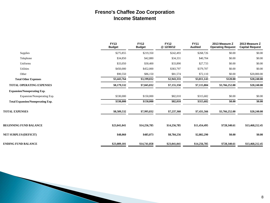# **Fresno's Chaffee Zoo Corporation Income Statement**

|                                          | <b>FY13</b><br><b>Budget</b> | <b>FY12</b><br><b>Budget</b> | <b>FY12</b><br>@12/30/12 | <b>FY11</b><br><b>Audited</b> | 2013 Measure Z<br><b>Operating Request</b> | 2013 Measure Z<br><b>Capital Request</b> |
|------------------------------------------|------------------------------|------------------------------|--------------------------|-------------------------------|--------------------------------------------|------------------------------------------|
| Supplies                                 | \$275,855                    | \$219,350                    | \$242,493                | \$268,726                     | \$0.00                                     | \$0.00                                   |
| Telephone                                | \$34,850                     | \$42,880                     | \$34,331                 | \$40,704                      | \$0.00                                     | \$0.00                                   |
| Uniforms                                 | \$33,050                     | \$30,400                     | \$33,890                 | \$27,733                      | \$0.00                                     | \$0.00                                   |
| Utilities                                | \$450,000                    | \$452,000                    | \$383,797                | \$379,707                     | \$0.00                                     | \$0.00                                   |
| Other                                    | \$90,550                     | \$86,150                     | \$81,574                 | \$72,110                      | \$0.00                                     | \$20,000.00                              |
| <b>Total Other Expenses</b>              | \$3,443,764                  | \$3,199,032                  | \$2,943,333              | \$3,011,143                   | \$120.00                                   | \$20,240.00                              |
| <b>TOTAL OPERATING EXPENSES</b>          | \$8,179,532                  | \$7,845,832                  | \$7,155,350              | \$7,115,884                   | \$3,766,252.00                             | \$20,240.00                              |
| <b>Expansion/Nonoperating Exp.</b>       |                              |                              |                          |                               |                                            |                                          |
| Expansion/Nonoperating Exp.              | \$330,000                    | \$150,000                    | \$82,010                 | \$315,682                     | \$0.00                                     | \$0.00                                   |
| <b>Total Expansion/Nonoperating Exp.</b> | \$330,000                    | \$150,000                    | \$82,010                 | \$315,682                     | \$0.00                                     | \$0.00                                   |
| <b>TOTAL EXPENSES</b>                    | \$8,509,532                  | \$7,995,832                  | \$7,237,360              | \$7,431,566                   | \$3,766,252.00                             | \$20,240.00                              |
| <b>BEGINNING FUND BALANCE</b>            | \$23,041,041                 | \$14,256,785                 | \$14,256,785             | \$11,454,495                  | \$728,340.61                               | \$13,468,212.45                          |
| <b>NET SURPLUS/(DEFICIT)</b>             | \$48,060                     | \$485,073                    | \$8,784,256              | \$2,802,290                   | \$0.00                                     | \$0.00                                   |
| <b>ENDING FUND BALANCE</b>               | \$23,089,101                 | \$14,741,858                 | \$23,041,041             | \$14,256,785                  | \$728,340.61                               | \$13,468,212.45                          |

**The Company**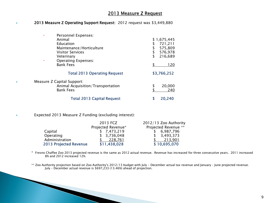#### 2013 Measure Z Request

#### ◆ 2013 Measure Z Operating Support Request: 2012 request was \$3,449,880

| Personnel Expenses:<br>Animal<br>Education<br>Maintenance/Horticulture<br><b>Visitor Services</b><br>Veterinary<br><b>Operating Expenses:</b><br>$\bullet$<br><b>Bank Fees</b> | \$1,675,445<br>721,211<br>\$<br>575,809<br>576,978<br>\$<br>216,689<br>120 |
|--------------------------------------------------------------------------------------------------------------------------------------------------------------------------------|----------------------------------------------------------------------------|
| <b>Total 2013 Operating Request</b>                                                                                                                                            | \$3,766,252                                                                |
| Measure Z Capital Support:<br>Animal Acquisition/Transportation<br><b>Bank Fees</b>                                                                                            | 20,000<br>S<br>240                                                         |
| <b>Total 2013 Capital Request</b>                                                                                                                                              | 20,240                                                                     |

#### Expected 2013 Measure Z Funding (excluding interest):

**The Company of the Company of the Company of the Company of the Company of The Company of The Company of The Company of The Company of The Company of The Company of The Company of The Company of The Company of The Company** 

**The Second Second** 

|                               | 2013 FCZ           | 2012/13 Zoo Authority |
|-------------------------------|--------------------|-----------------------|
|                               | Projected Revenue* | Projected Revenue **  |
| Capital                       | \$7,473,219        | \$6,987,796           |
| Operating                     | \$3,736,048        | \$3,493,373           |
| Administration                | 228.761            | 213.901               |
| <b>2013 Projected Revenue</b> | \$11,438,028       | \$10,695,070          |

\* Fresno Chaffee Zoo 2013 projected revenue is the same as 2012 actual revenue. Revenue has increased for three consecutive years. 2011 increased 8% and 2012 increased 12%.

\*\* Zoo Authority projection based on Zoo Authority's 2012/13 budget with July - December actual tax revenue and January – June projected revenue. July – December actual revenue is \$697,233 (13.46%) ahead of projection.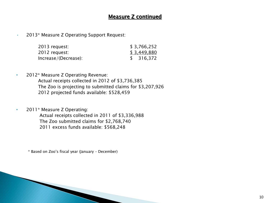# Measure Z continued

• 2013\* Measure Z Operating Support Request:

| 2013 request:        | \$3,766,252 |
|----------------------|-------------|
| 2012 request:        | \$3,449,880 |
| Increase/(Decrease): | \$316,372   |

- 2012\* Measure Z Operating Revenue:
	- Actual receipts collected in 2012 of \$3,736,385 The Zoo is projecting to submitted claims for \$3,207,926 2012 projected funds available: \$528,459
- 2011\* Measure Z Operating: Actual receipts collected in 2011 of \$3,336,988 The Zoo submitted claims for \$2,768,740 2011 excess funds available: \$568,248

\* Based on Zoo's fiscal year (January – December)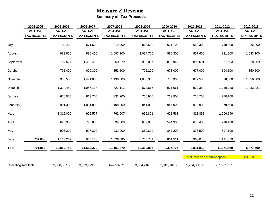# **Measure Z Revenue**

**Summary of Tax Proceeds**

|                            | 2004-2005          | 2005-2006           | 2006-2007           | 2007-2008           | 2008-2009           | 2009-2010          | 2010-2011                            | 2011-2012           | 2012-2013           |
|----------------------------|--------------------|---------------------|---------------------|---------------------|---------------------|--------------------|--------------------------------------|---------------------|---------------------|
|                            | <b>ACTUAL</b>      | <b>ACTUAL</b>       | <b>ACTUAL</b>       | <b>ACTUAL</b>       | <b>ACTUAL</b>       | <b>ACTUAL</b>      | <b>ACTUAL</b>                        | <b>ACTUAL</b>       | <b>ACTUAL</b>       |
|                            | <b>TAX RECEPTS</b> | <b>TAX RECEIPTS</b> | <b>TAX RECEIPTS</b> | <b>TAX RECEIPTS</b> | <b>TAX RECEIPTS</b> | <b>TAX RECEPTS</b> | <b>TAX RECEIPTS</b>                  | <b>TAX RECEIPTS</b> | <b>TAX RECEIPTS</b> |
| July                       |                    | 700,400             | 671,500             | 819,900             | 813,500             | 671,700            | 659,300                              | 719,800             | 826,000             |
| August                     |                    | 933,800             | 895,400             | 1,093,200           | 1,084,700           | 885,300            | 857,600                              | 921,200             | 1,033,100           |
| September                  |                    | 764,524             | 1,453,498           | 1,060,279           | 930,087             | 810,940            | 895,691                              | 1,057,603           | 1,028,369           |
| October                    |                    | 705,400             | 679,300             | 853,500             | 792,200             | 678,000            | 677,000                              | 694,100             | 850,500             |
| November                   |                    | 940,500             | 1,471,000           | 1,138,000           | 1,056,300           | 743,300            | 879,500                              | 878,500             | 1,056,800           |
| December                   |                    | 1,324,459           | 1,047,118           | 827,112             | 872,815             | 971,061            | 932,350                              | 1,240,028           | 1,083,021           |
| January                    |                    | 676,000             | 813,700             | 831,200             | 766,900             | 719,900            | 710,700                              | 770,100             |                     |
| February                   |                    | 901,300             | 1,081,800           | 1,108,200           | 841,000             | 944,000            | 919,900                              | 978,600             |                     |
| March                      |                    | 1,319,000           | 905,577             | 762,907             | 959,801             | 628,563            | 821,858                              | 1,006,649           |                     |
| April                      |                    | 678,900             | 748,000             | 699,000             | 652,000             | 594,300            | 618,400                              | 716,100             |                     |
| May                        |                    | 905,200             | 997,300             | 932,000             | 860,800             | 847,200            | 876,500                              | 897,100             |                     |
| June                       | 701,853            | 1,113,269           | 900,178             | 1,026,580           | 730,781             | 821,511            | 963,040                              | 1,191,689           |                     |
| <b>Total</b>               | 701,853            | 10,962,752          | 11,664,370          | 11,151,879          | 10,360,883          | 9,315,775          | 9,811,839                            | 11,071,469          | 5,877,790           |
|                            |                    |                     |                     |                     |                     |                    | <b>Total Received from inception</b> |                     | 80,918,611          |
| <b>Operating Available</b> |                    | 3,580,807.63        | 3,809,979.88        | 3,642,582.71        | 3,384,216.82        | 3,042,848.85       | 3,204,880.38                         | 3,616,318.21        |                     |